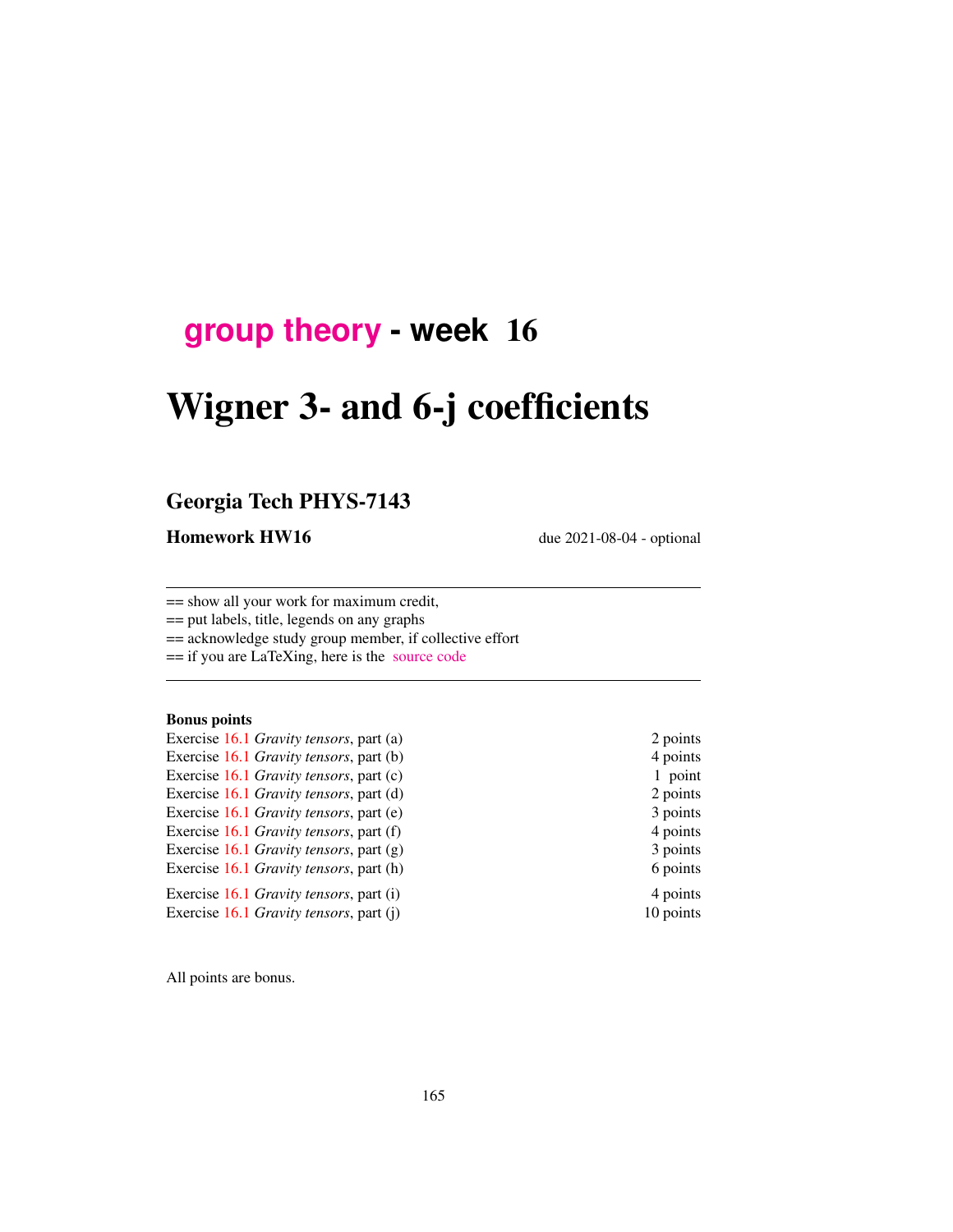## **[group theory](http://birdtracks.eu/course3/schedule.html) - week** 16

# Wigner 3- and 6-j coefficients

## Georgia Tech PHYS-7143

Homework HW16 due 2021-08-04 - optional

== show all your work for maximum credit,

== put labels, title, legends on any graphs

== acknowledge study group member, if collective effort

== if you are LaTeXing, here is the [source code](http://birdtracks.eu/course3/exerWeek15.zip)

#### Bonus points

- Exercise [16.1](#page-3-0) *Gravity tensors*, part (a) 2 points Exercise [16.1](#page-3-0) *Gravity tensors*, part (b) 4 points Exercise [16.1](#page-3-0) *Gravity tensors*, part (c) 1 point Exercise [16.1](#page-3-0) *Gravity tensors*, part (d) 2 points Exercise [16.1](#page-3-0) *Gravity tensors*, part (e) 3 points Exercise [16.1](#page-3-0) *Gravity tensors*, part (f) 4 points Exercise [16.1](#page-3-0) *Gravity tensors*, part (g) 3 points Exercise [16.1](#page-3-0) *Gravity tensors*, part (h) 6 points Exercise [16.1](#page-3-0) *Gravity tensors*, part (i) 4 points Exercise [16.1](#page-3-0) *Gravity tensors*, part (j) 10 points
	-

All points are bonus.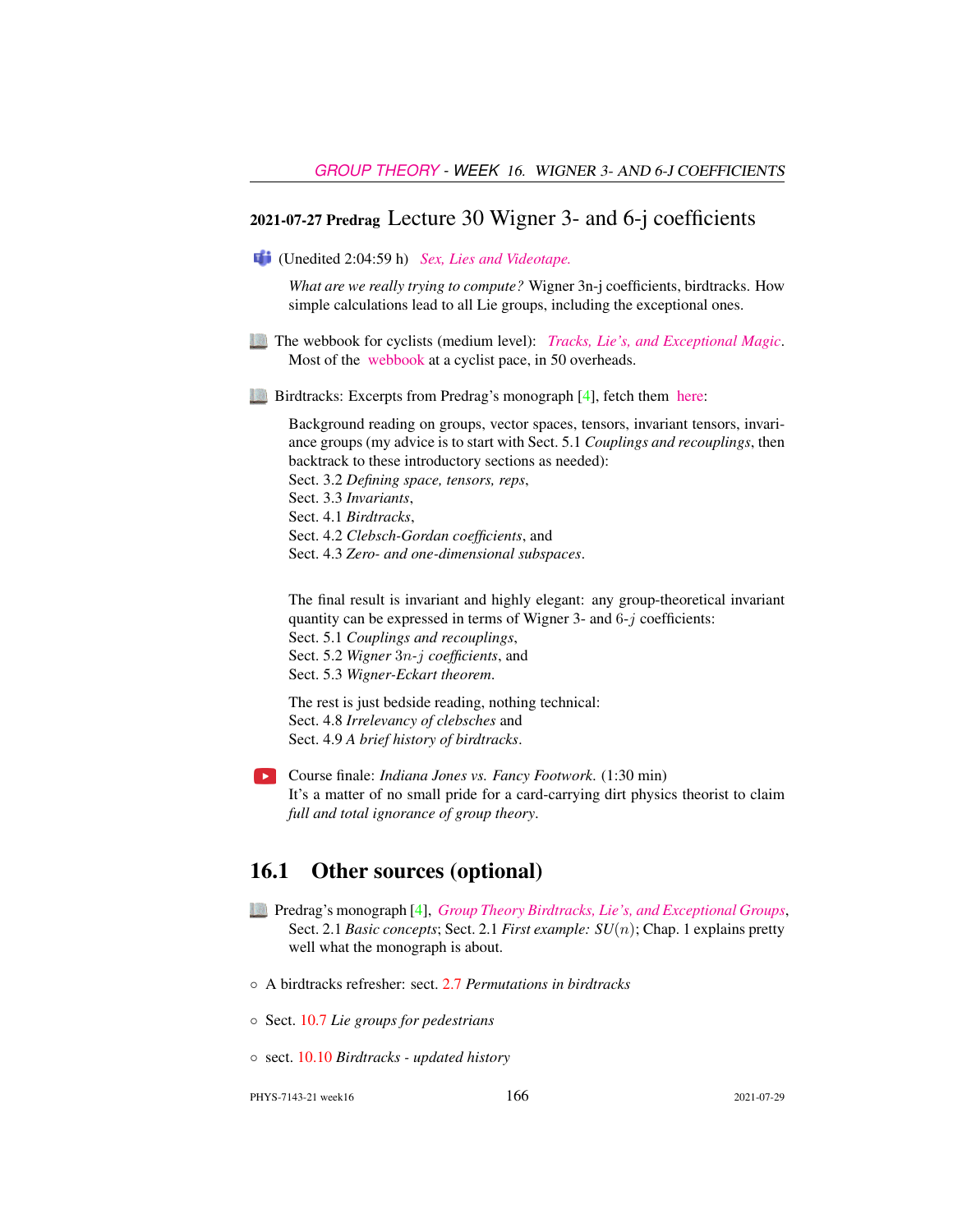## 2021-07-27 Predrag Lecture 30 Wigner 3- and 6-j coefficients

(Unedited 2:04:59 h) *[Sex, Lies and Videotape.](https://en.wikipedia.org/wiki/Sex,_Lies,_and_Videotape)*

*What are we really trying to compute?* Wigner 3n-j coefficients, birdtracks. How simple calculations lead to all Lie groups, including the exceptional ones.

- The webbook for cyclists (medium level): *[Tracks, Lie's, and Exceptional Magic](http://birdtracks.eu/overheads/lh03.pdf)*. Most of the [webbook](http://birdtracks.eu) at a cyclist pace, in 50 overheads.
- Birdtracks: Excerpts from Predrag's monograph [\[4\]](#page-3-1), fetch them [here:](http://birdtracks.eu/course3/week15lect30.pdf)

Background reading on groups, vector spaces, tensors, invariant tensors, invariance groups (my advice is to start with Sect. 5.1 *Couplings and recouplings*, then backtrack to these introductory sections as needed): Sect. 3.2 *Defining space, tensors, reps*, Sect. 3.3 *Invariants*, Sect. 4.1 *Birdtracks*, Sect. 4.2 *Clebsch-Gordan coefficients*, and Sect. 4.3 *Zero- and one-dimensional subspaces*.

The final result is invariant and highly elegant: any group-theoretical invariant quantity can be expressed in terms of Wigner 3- and  $6-i$  coefficients: Sect. 5.1 *Couplings and recouplings*,

Sect. 5.2 *Wigner* 3n*-*j *coefficients*, and Sect. 5.3 *Wigner-Eckart theorem*.

The rest is just bedside reading, nothing technical: Sect. 4.8 *Irrelevancy of clebsches* and Sect. 4.9 *A brief history of birdtracks*.

Course finale: *Indiana Jones vs. Fancy Footwork*. (1:30 min) It's a matter of no small pride for a card-carrying dirt physics theorist to claim *full and total ignorance of group theory*.

#### 16.1 Other sources (optional)

- Predrag's monograph [\[4\]](#page-3-1), *[Group Theory Birdtracks, Lie's, and Exceptional Groups](http://birdtracks.eu/version9.0/)*, Sect. 2.1 *Basic concepts*; Sect. 2.1 *First example: SU*(n); Chap. 1 explains pretty well what the monograph is about.
- A birdtracks refresher: sect. 2.7 *Permutations in birdtracks*
- Sect. 10.7 *Lie groups for pedestrians*
- sect. 10.10 *Birdtracks updated history*

PHYS-7143-21 week16 166 2021-07-29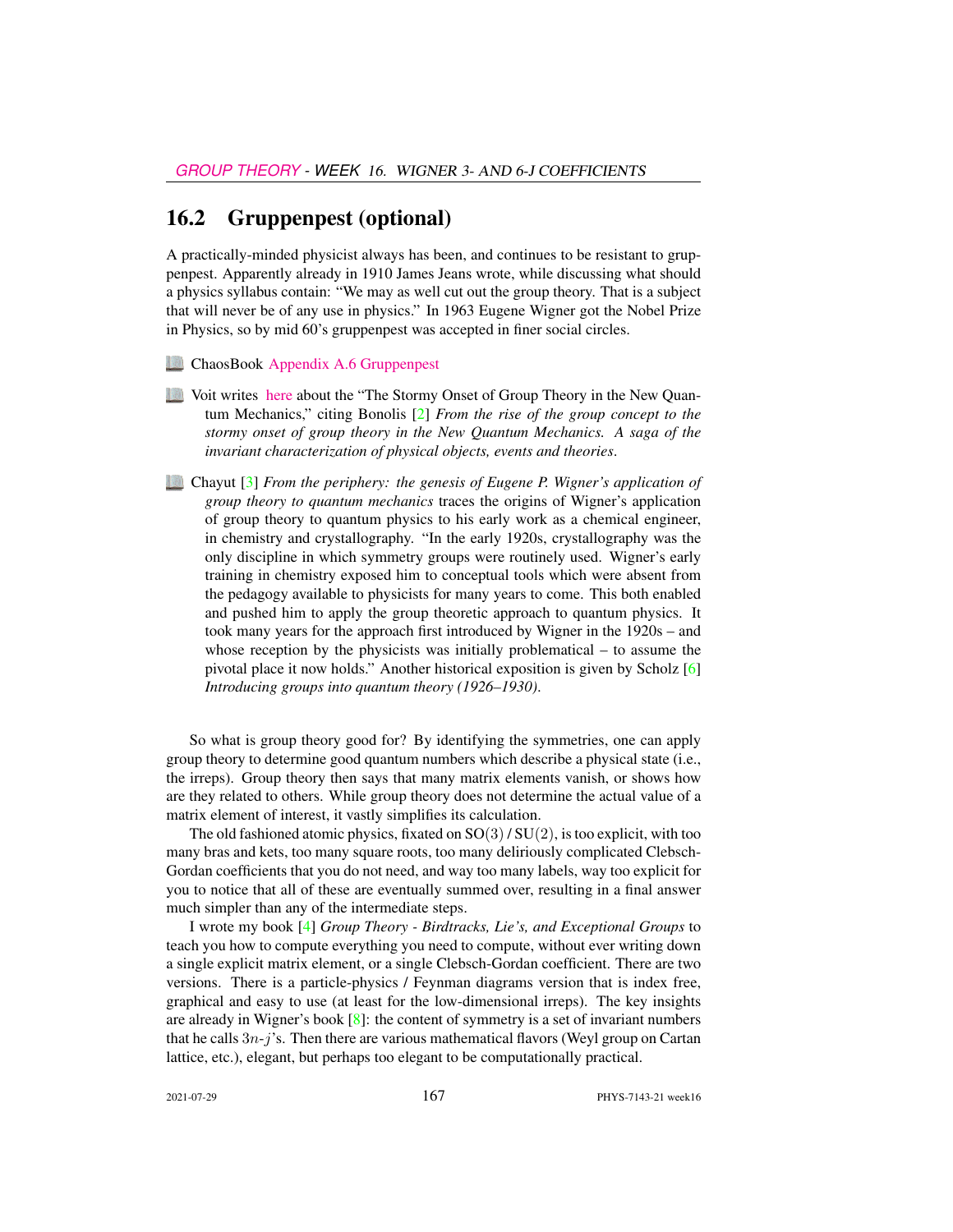#### 16.2 Gruppenpest (optional)

A practically-minded physicist always has been, and continues to be resistant to gruppenpest. Apparently already in 1910 James Jeans wrote, while discussing what should a physics syllabus contain: "We may as well cut out the group theory. That is a subject that will never be of any use in physics." In 1963 Eugene Wigner got the Nobel Prize in Physics, so by mid 60's gruppenpest was accepted in finer social circles.

- ChaosBook [Appendix A.6 Gruppenpest](http://ChaosBook.org/chapters/ChaosBook.pdf#section.A.6)
- Voit writes [here](http://www.math.columbia.edu/~woit/wordpress/?p=191) about the "The Stormy Onset of Group Theory in the New Quantum Mechanics," citing Bonolis [\[2\]](#page-3-2) *From the rise of the group concept to the stormy onset of group theory in the New Quantum Mechanics. A saga of the invariant characterization of physical objects, events and theories*.
- Chayut [\[3\]](#page-3-3) *From the periphery: the genesis of Eugene P. Wigner's application of group theory to quantum mechanics* traces the origins of Wigner's application of group theory to quantum physics to his early work as a chemical engineer, in chemistry and crystallography. "In the early 1920s, crystallography was the only discipline in which symmetry groups were routinely used. Wigner's early training in chemistry exposed him to conceptual tools which were absent from the pedagogy available to physicists for many years to come. This both enabled and pushed him to apply the group theoretic approach to quantum physics. It took many years for the approach first introduced by Wigner in the 1920s – and whose reception by the physicists was initially problematical – to assume the pivotal place it now holds." Another historical exposition is given by Scholz [\[6\]](#page-3-4) *Introducing groups into quantum theory (1926–1930)*.

So what is group theory good for? By identifying the symmetries, one can apply group theory to determine good quantum numbers which describe a physical state (i.e., the irreps). Group theory then says that many matrix elements vanish, or shows how are they related to others. While group theory does not determine the actual value of a matrix element of interest, it vastly simplifies its calculation.

The old fashioned atomic physics, fixated on  $SO(3)/SU(2)$ , is too explicit, with too many bras and kets, too many square roots, too many deliriously complicated Clebsch-Gordan coefficients that you do not need, and way too many labels, way too explicit for you to notice that all of these are eventually summed over, resulting in a final answer much simpler than any of the intermediate steps.

I wrote my book [\[4\]](#page-3-1) *Group Theory - Birdtracks, Lie's, and Exceptional Groups* to teach you how to compute everything you need to compute, without ever writing down a single explicit matrix element, or a single Clebsch-Gordan coefficient. There are two versions. There is a particle-physics / Feynman diagrams version that is index free, graphical and easy to use (at least for the low-dimensional irreps). The key insights are already in Wigner's book  $[8]$ : the content of symmetry is a set of invariant numbers that he calls  $3n-i$ 's. Then there are various mathematical flavors (Weyl group on Cartan lattice, etc.), elegant, but perhaps too elegant to be computationally practical.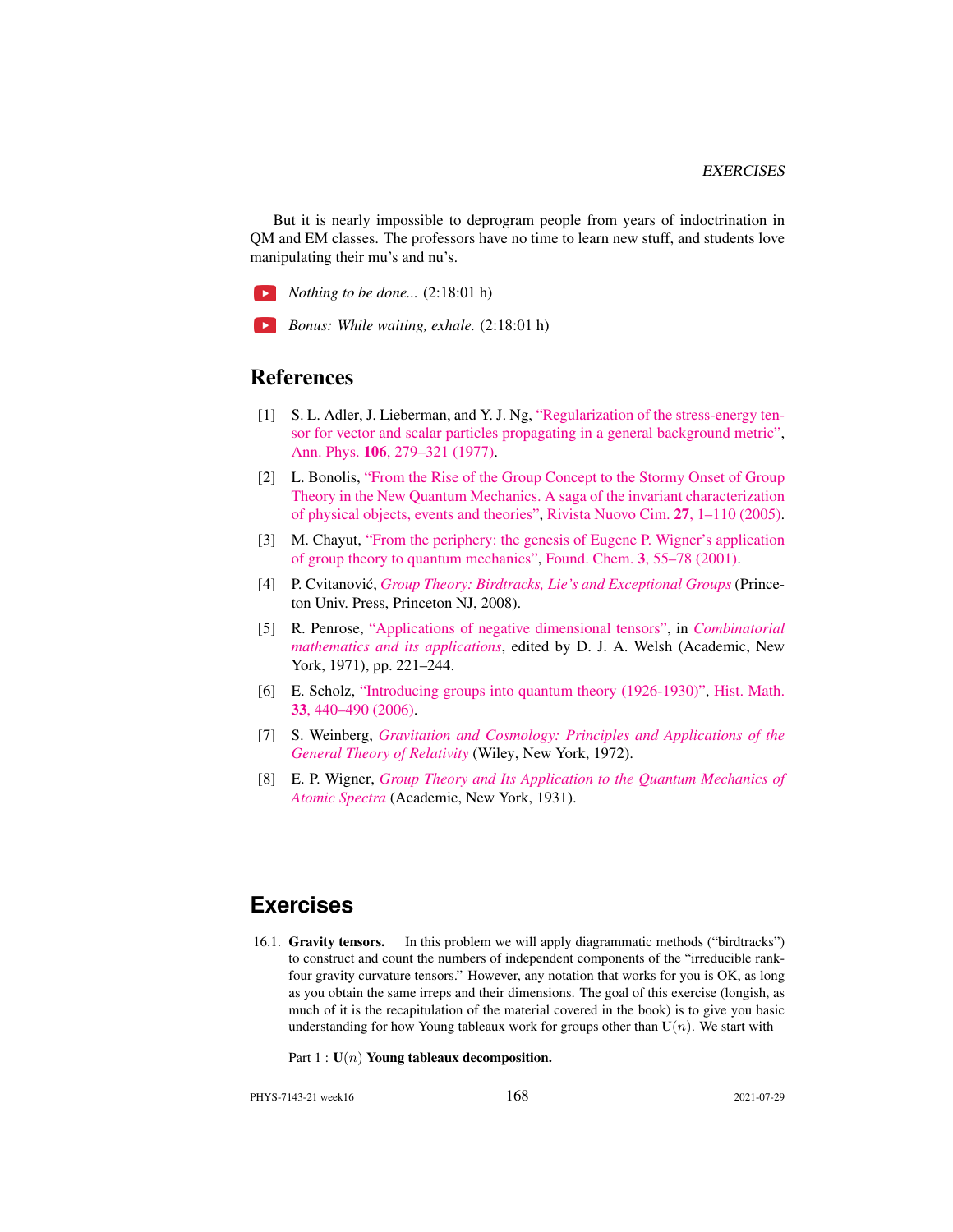But it is nearly impossible to deprogram people from years of indoctrination in QM and EM classes. The professors have no time to learn new stuff, and students love manipulating their mu's and nu's.

*Nothing to be done...* (2:18:01 h)

*Bonus: While waiting, exhale.* (2:18:01 h)

#### References

- <span id="page-3-8"></span>[1] S. L. Adler, J. Lieberman, and Y. J. Ng, ["Regularization of the stress-energy ten](http://dx.doi.org/10.1016/0003-4916(77)90313-X)[sor for vector and scalar particles propagating in a general background metric",](http://dx.doi.org/10.1016/0003-4916(77)90313-X) Ann. Phys. 106[, 279–321 \(1977\).](https://doi.org/10.1016/0003-4916(77)90313-X)
- <span id="page-3-2"></span>[2] L. Bonolis, ["From the Rise of the Group Concept to the Stormy Onset of Group](https://www.researchgate.net/publication/234207946) [Theory in the New Quantum Mechanics. A saga of the invariant characterization](https://www.researchgate.net/publication/234207946) [of physical objects, events and theories",](https://www.researchgate.net/publication/234207946) [Rivista Nuovo Cim.](https://www.researchgate.net/publication/234207946) 27, 1–110 (2005).
- <span id="page-3-3"></span>[3] M. Chayut, ["From the periphery: the genesis of Eugene P. Wigner's application](http://dx.doi.org/10.1023/A:1011431408763) [of group theory to quantum mechanics",](http://dx.doi.org/10.1023/A:1011431408763) Found. Chem. 3[, 55–78 \(2001\).](https://doi.org/10.1023/A:1011431408763)
- <span id="page-3-1"></span>[4] P. Cvitanovic,´ *[Group Theory: Birdtracks, Lie's and Exceptional Groups](http://dx.doi.org/10.1515/9781400837670)* (Princeton Univ. Press, Princeton NJ, 2008).
- <span id="page-3-7"></span>[5] R. Penrose, ["Applications of negative dimensional tensors",](http://homepages.math.uic.edu/~kauffman/Penrose.pdf) in *[Combinatorial](http://homepages.math.uic.edu/~kauffman/Penrose.pdf) [mathematics and its applications](http://homepages.math.uic.edu/~kauffman/Penrose.pdf)*, edited by D. J. A. Welsh (Academic, New York, 1971), pp. 221–244.
- <span id="page-3-4"></span>[6] E. Scholz, ["Introducing groups into quantum theory \(1926-1930\)",](http://dx.doi.org/10.1016/j.hm.2005.11.007) [Hist. Math.](https://doi.org/10.1016/j.hm.2005.11.007) 33[, 440–490 \(2006\).](https://doi.org/10.1016/j.hm.2005.11.007)
- <span id="page-3-6"></span>[7] S. Weinberg, *[Gravitation and Cosmology: Principles and Applications of the](http://dx.doi.org/10.1119/1.1987308) [General Theory of Relativity](http://dx.doi.org/10.1119/1.1987308)* (Wiley, New York, 1972).
- <span id="page-3-5"></span>[8] E. P. Wigner, *[Group Theory and Its Application to the Quantum Mechanics of](http://books.google.com/books?vid=ISBN9780323152785) [Atomic Spectra](http://books.google.com/books?vid=ISBN9780323152785)* (Academic, New York, 1931).

### **Exercises**

- <span id="page-3-0"></span>16.1. Gravity tensors. In this problem we will apply diagrammatic methods ("birdtracks") to construct and count the numbers of independent components of the "irreducible rankfour gravity curvature tensors." However, any notation that works for you is OK, as long as you obtain the same irreps and their dimensions. The goal of this exercise (longish, as much of it is the recapitulation of the material covered in the book) is to give you basic understanding for how Young tableaux work for groups other than  $U(n)$ . We start with
	- Part  $1: U(n)$  Young tableaux decomposition.

PHYS-7143-21 week16 168 2021-07-29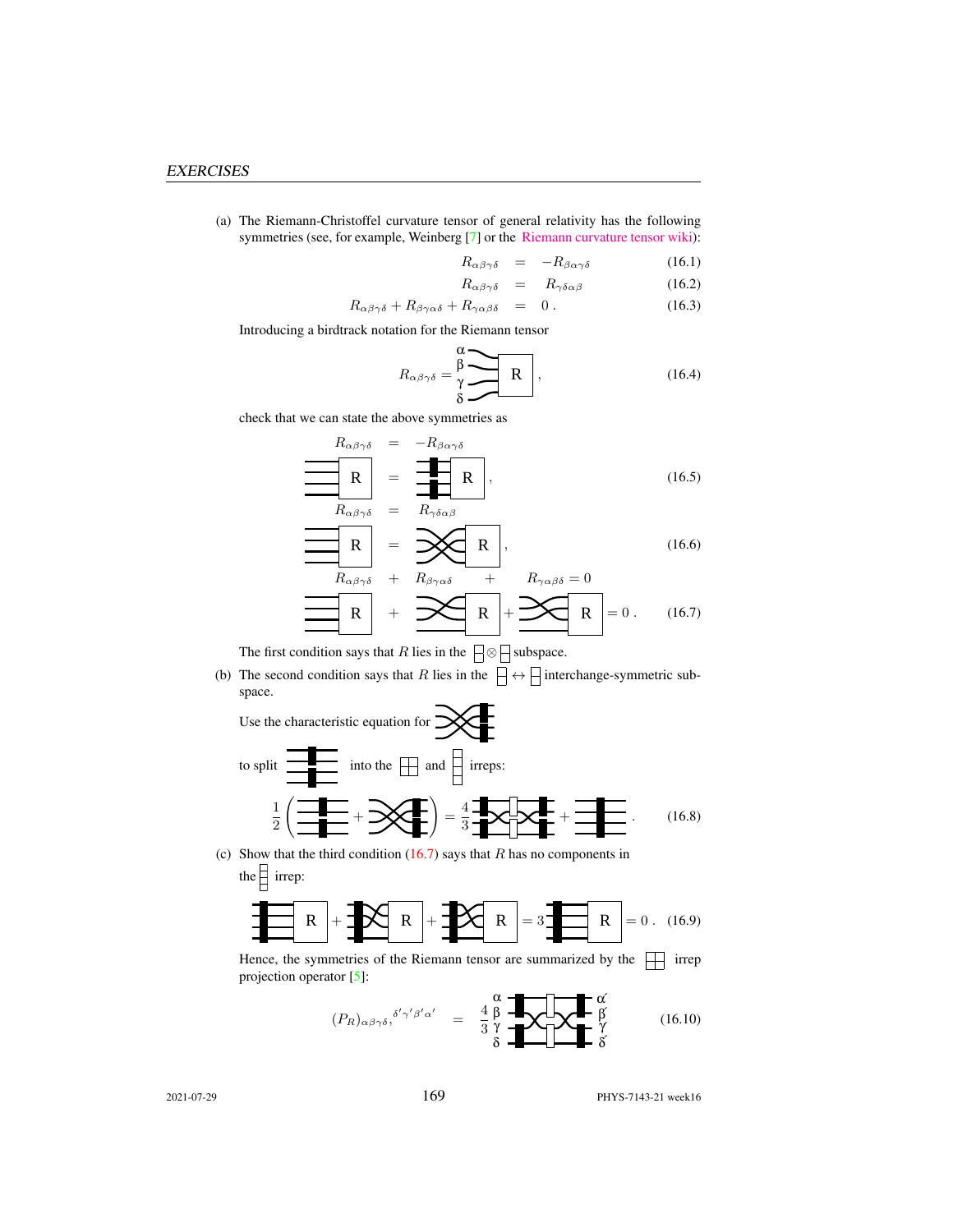(a) The Riemann-Christoffel curvature tensor of general relativity has the following symmetries (see, for example, Weinberg [\[7\]](#page-3-6) or the [Riemann curvature tensor wiki\)](https://en.wikipedia.org/wiki/Riemann_curvature_tensor):

$$
R_{\alpha\beta\gamma\delta} = -R_{\beta\alpha\gamma\delta} \tag{16.1}
$$

$$
R_{\alpha\beta\gamma\delta} = R_{\gamma\delta\alpha\beta} \tag{16.2}
$$

$$
R_{\alpha\beta\gamma\delta} + R_{\beta\gamma\alpha\delta} + R_{\gamma\alpha\beta\delta} = 0.
$$
 (16.3)

Introducing a birdtrack notation for the Riemann tensor

$$
R_{\alpha\beta\gamma\delta} = \frac{\beta}{\gamma} \cdot \frac{R}{\gamma} \cdot \frac{R}{\gamma}
$$
 (16.4)

check that we can state the above symmetries as

<span id="page-4-0"></span>
$$
R_{\alpha\beta\gamma\delta} = -R_{\beta\alpha\gamma\delta}
$$
  
\n
$$
\mathbf{R} = \mathbf{R}_{\alpha\beta\gamma\delta} = R_{\gamma\delta\alpha\beta}
$$
 (16.5)

$$
\mathbf{R} = \mathbf{X} \mathbf{R}, \qquad (16.6)
$$

$$
R_{\alpha\beta\gamma\delta} + R_{\beta\gamma\alpha\delta} + R_{\gamma\alpha\beta\delta} = 0
$$
  
\n
$$
\mathbf{R} + \mathbf{R}_{\gamma\alpha\beta\delta} = 0
$$
  
\n
$$
\mathbf{R} = 0. \quad (16.7)
$$

The first condition says that  $R$  lies in the  $\boxed{\Rightarrow} \bigotimes$  subspace.

(b) The second condition says that R lies in the  $\Box \leftrightarrow \Box$  interchange-symmetric subspace.  $\sqrt{ }$ 

Use the characteristic equation for 
$$
\frac{1}{2} \left( \frac{1}{\frac{1}{2}} + \frac{1}{2} \left( \frac{1}{\frac{1}{2}} + \frac{1}{2} \left( \frac{1}{\frac{1}{2}} + \frac{1}{2} \left( \frac{1}{\frac{1}{2}} + \frac{1}{2} \left( \frac{1}{\frac{1}{2}} + \frac{1}{2} \left( \frac{1}{\frac{1}{2}} + \frac{1}{2} \left( \frac{1}{\frac{1}{2}} + \frac{1}{2} \left( \frac{1}{\frac{1}{2}} + \frac{1}{2} \left( \frac{1}{\frac{1}{2}} + \frac{1}{2} \left( \frac{1}{\frac{1}{2}} + \frac{1}{2} \left( \frac{1}{\frac{1}{2}} + \frac{1}{2} \left( \frac{1}{\frac{1}{2}} + \frac{1}{2} \left( \frac{1}{\frac{1}{2}} + \frac{1}{2} \left( \frac{1}{\frac{1}{2}} + \frac{1}{2} \left( \frac{1}{\frac{1}{2}} + \frac{1}{2} \left( \frac{1}{\frac{1}{2}} + \frac{1}{2} \left( \frac{1}{\frac{1}{2}} + \frac{1}{2} \left( \frac{1}{\frac{1}{2}} + \frac{1}{2} \left( \frac{1}{\frac{1}{2}} + \frac{1}{2} \left( \frac{1}{\frac{1}{2}} + \frac{1}{2} \left( \frac{1}{\frac{1}{2}} + \frac{1}{2} \left( \frac{1}{\frac{1}{2}} + \frac{1}{2} \left( \frac{1}{\frac{1}{2}} + \frac{1}{2} \left( \frac{1}{\frac{1}{2}} + \frac{1}{2} \left( \frac{1}{\frac{1}{2}} + \frac{1}{2} \left( \frac{1}{\frac{1}{2}} + \frac{1}{2} \left( \frac{1}{\frac{1}{2}} + \frac{1}{2} \left( \frac{1}{\frac{1}{2}} + \frac{1}{2} \left( \frac{1}{\frac{1}{2}} + \frac{1}{2} \left( \frac{1}{\frac{1}{2}} + \frac{1}{2} \left( \frac{1}{\frac{1}{2}} + \frac{1}{2} \left( \frac{1}{\frac{1}{2}} + \frac{1}{2} \left( \frac{1}{\frac{1
$$

(c) Show that the third condition  $(16.7)$  says that R has no components in the  $\frac{1}{2}$  irrep:

$$
\mathbf{R} + \mathbf{R} + \mathbf{R} + \mathbf{R}
$$

Hence, the symmetries of the Riemann tensor are summarized by the  $\Box$  irrep projection operator [\[5\]](#page-3-7):

$$
(P_R)_{\alpha\beta\gamma\delta}, \delta'\gamma'\beta'\alpha' = \frac{4}{3}\frac{\beta}{\gamma} \sqrt{\frac{4}{3}\frac{\beta}{\gamma}} \sqrt{\frac{4}{3}\frac{\beta'}{\gamma'}}
$$
(16.10)

2021-07-29 **169** PHYS-7143-21 week16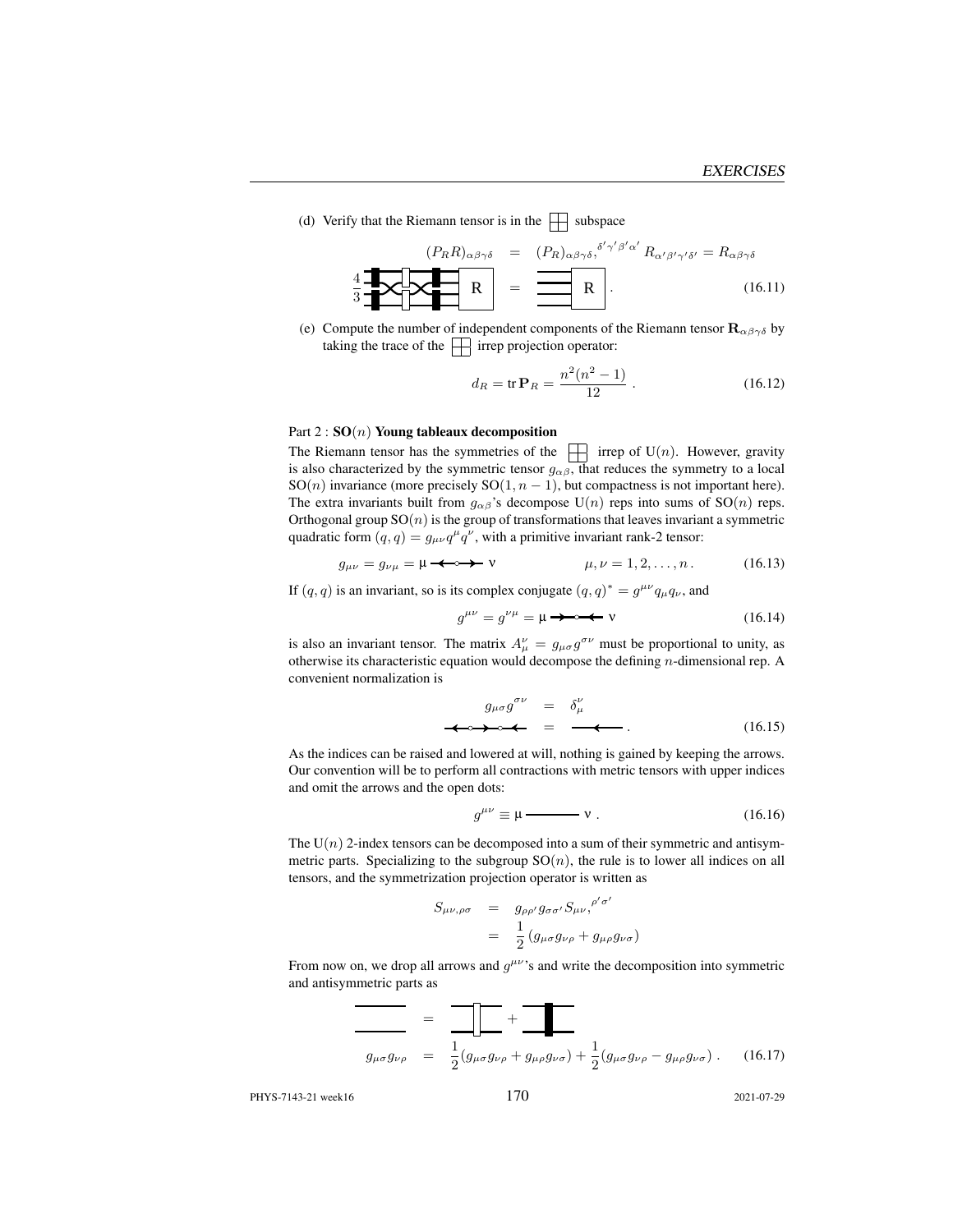(d) Verify that the Riemann tensor is in the  $\Box$  subspace

<span id="page-5-0"></span>
$$
\left\{\mathbf{R}_{R}\right\}_{\alpha\beta\gamma\delta} = (P_{R})_{\alpha\beta\gamma\delta}^{\delta'\gamma'\beta'\alpha'} R_{\alpha'\beta'\gamma'\delta'} = R_{\alpha\beta\gamma\delta}
$$
\n
$$
\frac{4}{3} \mathbf{R}_{\alpha\beta\gamma\delta} \mathbf{R}_{\alpha'\beta'\gamma'\delta'} = (16.11)
$$

(e) Compute the number of independent components of the Riemann tensor  $\mathbf{R}_{\alpha\beta\gamma\delta}$  by taking the trace of the  $\Box$  irrep projection operator:

$$
d_R = \text{tr}\,\mathbf{P}_R = \frac{n^2(n^2 - 1)}{12} \ . \tag{16.12}
$$

#### Part  $2: SO(n)$  Young tableaux decomposition

The Riemann tensor has the symmetries of the  $\Box$  irrep of U(n). However, gravity is also characterized by the symmetric tensor  $g_{\alpha\beta}$ , that reduces the symmetry to a local SO(n) invariance (more precisely SO(1,  $n - 1$ ), but compactness is not important here). The extra invariants built from  $g_{\alpha\beta}$ 's decompose U(n) reps into sums of SO(n) reps. Orthogonal group  $SO(n)$  is the group of transformations that leaves invariant a symmetric quadratic form  $(q, q) = g_{\mu\nu}q^{\mu}q^{\nu}$ , with a primitive invariant rank-2 tensor:

$$
g_{\mu\nu} = g_{\nu\mu} = \mu \longrightarrow \mathbf{v} \qquad \qquad \mu, \nu = 1, 2, \dots, n. \tag{16.13}
$$

If  $(q, q)$  is an invariant, so is its complex conjugate  $(q, q)^* = g^{\mu\nu} q_\mu q_\nu$ , and

g µν = g νµ = µ ν (16.14)

is also an invariant tensor. The matrix  $A^{\nu}_{\mu} = g_{\mu\sigma} g^{\sigma\nu}$  must be proportional to unity, as otherwise its characteristic equation would decompose the defining  $n$ -dimensional rep. A convenient normalization is

$$
g_{\mu\sigma}g^{\sigma\nu} = \delta^{\nu}_{\mu}
$$
  
\n
$$
\longleftrightarrow \bullet \leftarrow = \bullet \bullet \bullet \tag{16.15}
$$

As the indices can be raised and lowered at will, nothing is gained by keeping the arrows. Our convention will be to perform all contractions with metric tensors with upper indices and omit the arrows and the open dots:

$$
g^{\mu\nu} \equiv \mu \longrightarrow \mathbf{v} \ . \tag{16.16}
$$

The  $U(n)$  2-index tensors can be decomposed into a sum of their symmetric and antisymmetric parts. Specializing to the subgroup  $SO(n)$ , the rule is to lower all indices on all tensors, and the symmetrization projection operator is written as

$$
S_{\mu\nu,\rho\sigma} = g_{\rho\rho'} g_{\sigma\sigma'} S_{\mu\nu,}^{\rho'\sigma'}
$$
  
= 
$$
\frac{1}{2} (g_{\mu\sigma} g_{\nu\rho} + g_{\mu\rho} g_{\nu\sigma})
$$

From now on, we drop all arrows and  $g^{\mu\nu}$ 's and write the decomposition into symmetric and antisymmetric parts as

$$
g_{\mu\sigma}g_{\nu\rho} = \frac{1}{2}(g_{\mu\sigma}g_{\nu\rho} + g_{\mu\rho}g_{\nu\sigma}) + \frac{1}{2}(g_{\mu\sigma}g_{\nu\rho} - g_{\mu\rho}g_{\nu\sigma}).
$$
 (16.17)

PHYS-7143-21 week16 170 2021-07-29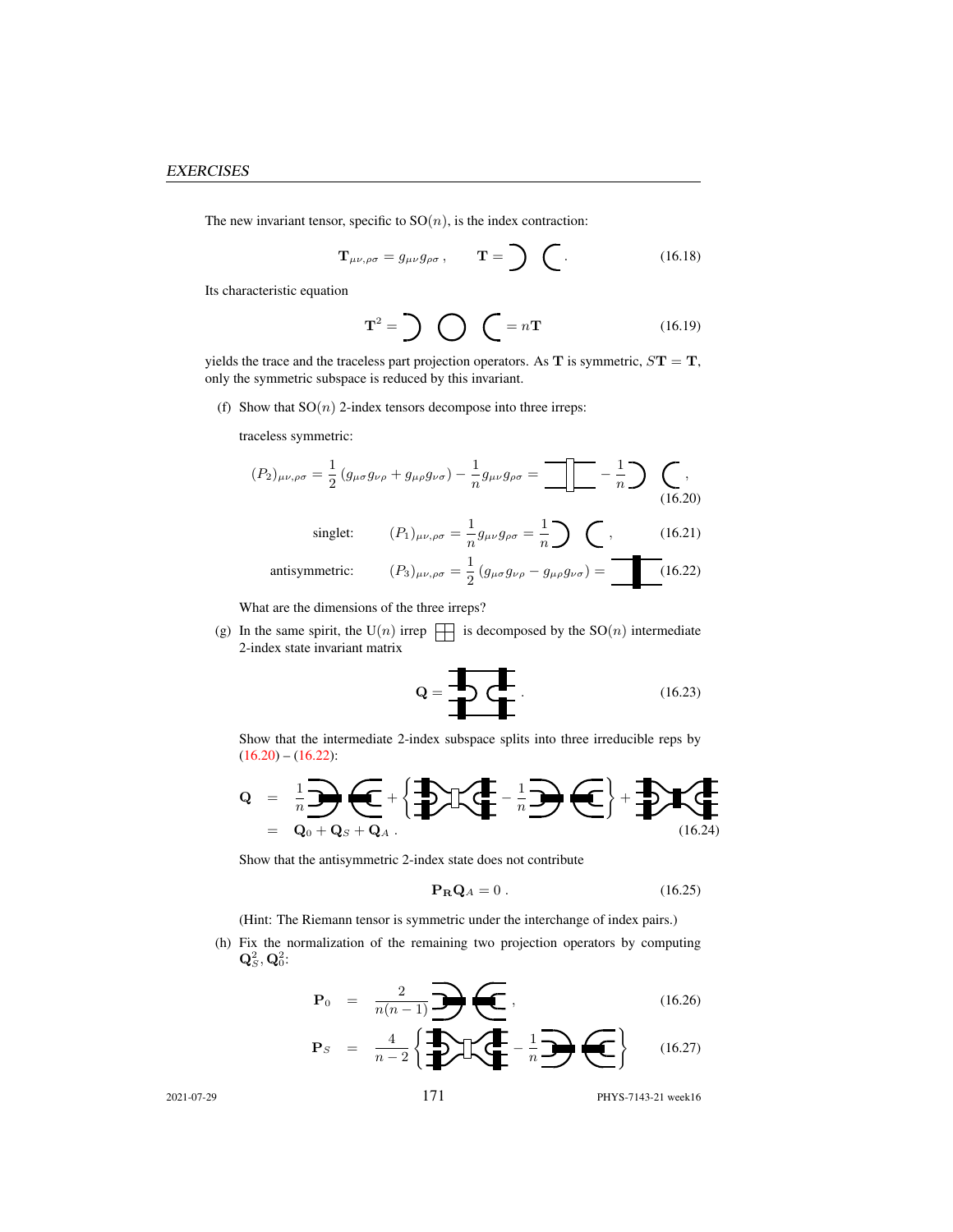The new invariant tensor, specific to  $SO(n)$ , is the index contraction:

$$
\mathbf{T}_{\mu\nu,\rho\sigma} = g_{\mu\nu} g_{\rho\sigma}, \qquad \mathbf{T} = \sum \quad (16.18)
$$

Its characteristic equation

$$
\mathbf{T}^2 = \sum \bigotimes \bigotimes = n\mathbf{T} \tag{16.19}
$$

yields the trace and the traceless part projection operators. As  $T$  is symmetric,  $ST = T$ , only the symmetric subspace is reduced by this invariant.

(f) Show that  $SO(n)$  2-index tensors decompose into three irreps:

traceless symmetric:

<span id="page-6-1"></span><span id="page-6-0"></span>
$$
(P_2)_{\mu\nu,\rho\sigma} = \frac{1}{2} (g_{\mu\sigma} g_{\nu\rho} + g_{\mu\rho} g_{\nu\sigma}) - \frac{1}{n} g_{\mu\nu} g_{\rho\sigma} = \frac{1}{n} - \frac{1}{n} \sum (16.20)
$$
  
singlet: 
$$
(P_1)_{\mu\nu,\rho\sigma} = \frac{1}{n} g_{\mu\nu} g_{\rho\sigma} = \frac{1}{n} \sum (16.21)
$$
  
antisymmetric: 
$$
(P_3)_{\mu\nu,\rho\sigma} = \frac{1}{2} (g_{\mu\sigma} g_{\nu\rho} - g_{\mu\rho} g_{\nu\sigma}) = \frac{1}{n} (16.22)
$$

What are the dimensions of the three irreps?

(g) In the same spirit, the U(n) irrep  $\Box$  is decomposed by the SO(n) intermediate 2-index state invariant matrix

$$
\mathbf{Q} = \begin{array}{c} \mathbf{I} \\ \mathbf{I} \end{array} \qquad (16.23)
$$

Show that the intermediate 2-index subspace splits into three irreducible reps by  $(16.20) - (16.22)$  $(16.20) - (16.22)$  $(16.20) - (16.22)$ :

$$
Q = \frac{1}{n} \sum_{Q_0 + Q_S + Q_A} \underbrace{\left\{ \bigoplus_{\lambda} \left( \bigoplus_{\lambda} \bigoplus_{\lambda} \bigoplus_{\lambda} \bigoplus_{\lambda} \bigoplus_{\lambda} \bigoplus_{\lambda} \bigoplus_{\lambda} \bigoplus_{\lambda} \bigoplus_{\lambda} \bigoplus_{\lambda} \bigoplus_{\lambda} \bigoplus_{\lambda} \bigoplus_{\lambda} \bigoplus_{\lambda} \bigoplus_{\lambda} \bigoplus_{\lambda} \bigoplus_{\lambda} \bigoplus_{\lambda} \bigoplus_{\lambda} \bigoplus_{\lambda} \bigoplus_{\lambda} \bigoplus_{\lambda} \bigoplus_{\lambda} \bigoplus_{\lambda} \bigoplus_{\lambda} \bigoplus_{\lambda} \bigoplus_{\lambda} \bigoplus_{\lambda} \bigoplus_{\lambda} \bigoplus_{\lambda} \bigoplus_{\lambda} \bigoplus_{\lambda} \bigoplus_{\lambda} \bigoplus_{\lambda} \bigoplus_{\lambda} \bigoplus_{\lambda} \bigoplus_{\lambda} \bigoplus_{\lambda} \bigoplus_{\lambda} \bigoplus_{\lambda} \bigoplus_{\lambda} \bigoplus_{\lambda} \bigoplus_{\lambda} \bigoplus_{\lambda} \bigoplus_{\lambda} \bigoplus_{\lambda} \bigoplus_{\lambda} \bigoplus_{\lambda} \bigoplus_{\lambda} \bigoplus_{\lambda} \bigoplus_{\lambda} \bigoplus_{\lambda} \bigoplus_{\lambda} \bigoplus_{\lambda} \bigoplus_{\lambda} \bigoplus_{\lambda} \bigoplus_{\lambda} \bigoplus_{\lambda} \bigoplus_{\lambda} \bigoplus_{\lambda} \bigoplus_{\lambda} \bigoplus_{\lambda} \bigoplus_{\lambda} \bigoplus_{\lambda} \bigoplus_{\lambda} \bigoplus_{\lambda} \bigoplus_{\lambda} \bigoplus_{\lambda} \bigoplus_{\lambda} \bigoplus_{\lambda} \bigoplus_{\lambda} \bigoplus_{\lambda} \bigoplus_{\lambda} \bigoplus_{\lambda} \bigoplus_{\lambda} \bigoplus_{\lambda} \bigoplus_{\lambda} \bigoplus_{\lambda} \bigoplus_{\lambda} \bigoplus_{\lambda} \bigoplus_{\lambda} \bigoplus_{\lambda} \bigoplus_{\lambda} \bigoplus_{\lambda} \bigoplus_{\lambda} \bigoplus_{\lambda} \bigoplus_{\lambda} \bigoplus_{\lambda} \bigoplus_{\lambda} \bigoplus_{\lambda
$$

Show that the antisymmetric 2-index state does not contribute

$$
\mathbf{P}_{\mathbf{R}}\mathbf{Q}_A = 0. \tag{16.25}
$$

(Hint: The Riemann tensor is symmetric under the interchange of index pairs.)

(h) Fix the normalization of the remaining two projection operators by computing  $\mathbf{Q}^2_S, \mathbf{Q}^2_0$ :

$$
\mathbf{P}_0 = \frac{2}{n(n-1)} \mathbf{P}(\mathbf{C}), \qquad (16.26)
$$

$$
\mathbf{P}_S = \frac{4}{n-2} \left\{ \frac{1}{2} \sum \left( \frac{1}{2} - \frac{1}{n} \right) \left( \frac{1}{2} - \frac{1}{n} \right) \right\} \tag{16.27}
$$

$$
171 \t\t\t PHYS-7143-21 \t\t\t week16
$$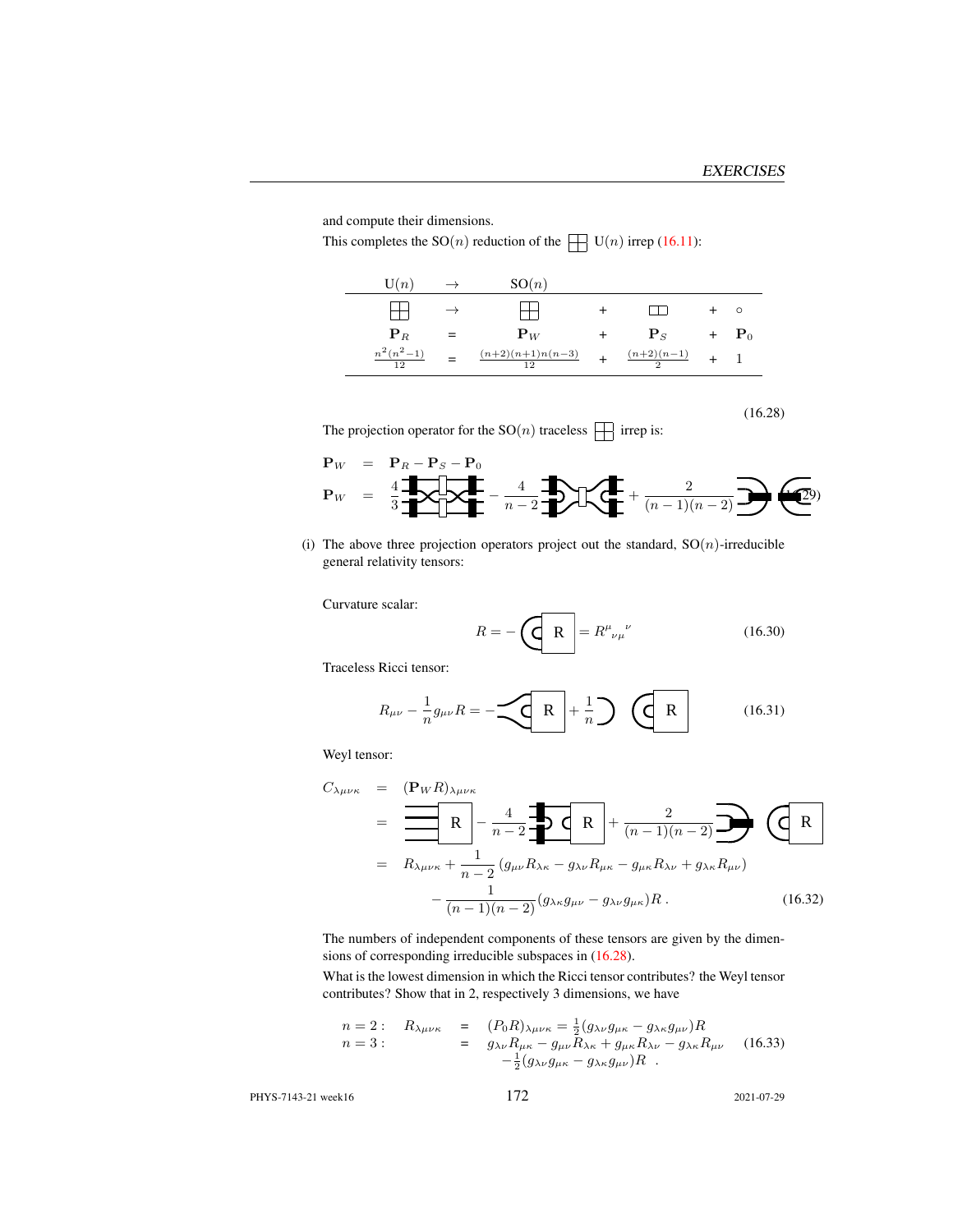and compute their dimensions.

This completes the  $SO(n)$  reduction of the  $\Box$   $U(n)$  irrep [\(16.11\)](#page-5-0):

<span id="page-7-0"></span>

| $\mathrm{U}(n)$    | $\rightarrow$ | SO(n)                        |                        |                    |
|--------------------|---------------|------------------------------|------------------------|--------------------|
|                    | $\rightarrow$ |                              |                        | $\circ$            |
| ${\bf P}_R$        | $=$           | ${\bf P}_W$                  | ${\bf P}_S$            | $+$ $\mathbf{P}_0$ |
| $n^2(n^2-1)$<br>12 |               | $(n+2)(n+1)n(n-3)$<br>$12-1$ | $\frac{(n+2)(n-1)}{2}$ |                    |

(16.28)

The projection operator for the  $\mathrm{SO}(n)$  traceless  $\,\,\prod\,$  irrep is:

$$
\mathbf{P}_W = \frac{4}{3} \underbrace{\mathbf{I} \cdot \mathbf{P}_B - \mathbf{P}_S - \mathbf{P}_0}_{n-2} - \underbrace{4}{n-2} \underbrace{\mathbf{I} \cdot \mathbf{P}}_{n-1} + \underbrace{\frac{2}{(n-1)(n-2)}} \underbrace{\mathbf{P}}_{n-2} \underbrace{\mathbf{P}}_{n-1}
$$

(i) The above three projection operators project out the standard,  $SO(n)$ -irreducible general relativity tensors:

Curvature scalar:

$$
R = -\left(\frac{\mathbf{R}}{\mathbf{R}}\right) = R^{\mu}{}_{\nu\mu}{}^{\nu} \tag{16.30}
$$

Traceless Ricci tensor:

$$
R_{\mu\nu} - \frac{1}{n} g_{\mu\nu} R = -\underbrace{\left\langle \mathbf{R} \right|}_{+} + \frac{1}{n} \underbrace{\left\langle \mathbf{R} \right|}_{-} \qquad (16.31)
$$

Weyl tensor:

$$
C_{\lambda\mu\nu\kappa} = (\mathbf{P}_{W}R)_{\lambda\mu\nu\kappa}
$$
  
=  $\frac{\mathbf{R}}{\mathbf{R}} - \frac{4}{n-2} \mathbf{O}(\mathbf{R}) + \frac{2}{(n-1)(n-2)} \mathbf{O}(\mathbf{R})$   
=  $R_{\lambda\mu\nu\kappa} + \frac{1}{n-2} (g_{\mu\nu}R_{\lambda\kappa} - g_{\lambda\nu}R_{\mu\kappa} - g_{\mu\kappa}R_{\lambda\nu} + g_{\lambda\kappa}R_{\mu\nu})$   
 $-\frac{1}{(n-1)(n-2)} (g_{\lambda\kappa}g_{\mu\nu} - g_{\lambda\nu}g_{\mu\kappa})R$ . (16.32)

The numbers of independent components of these tensors are given by the dimensions of corresponding irreducible subspaces in [\(16.28\)](#page-7-0).

What is the lowest dimension in which the Ricci tensor contributes? the Weyl tensor contributes? Show that in 2, respectively 3 dimensions, we have

$$
n = 2: \quad R_{\lambda\mu\nu\kappa} = (P_0 R)_{\lambda\mu\nu\kappa} = \frac{1}{2} (g_{\lambda\nu} g_{\mu\kappa} - g_{\lambda\kappa} g_{\mu\nu}) R \nn = 3: \quad = g_{\lambda\nu} R_{\mu\kappa} - g_{\mu\nu} R_{\lambda\kappa} + g_{\mu\kappa} R_{\lambda\nu} - g_{\lambda\kappa} R_{\mu\nu} \quad (16.33) \n- \frac{1}{2} (g_{\lambda\nu} g_{\mu\kappa} - g_{\lambda\kappa} g_{\mu\nu}) R
$$

PHYS-7143-21 week16 172 2021-07-29